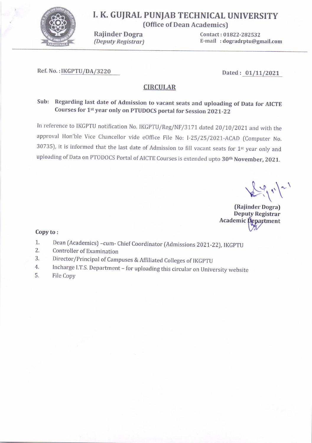

# I. K. GUJRAL PUNJAB TECHNICAL UNIVERSITY

(Office of Dean Academics)

Rajinder Dogra (Deputy Registrar) Contact: 01822-282532 E-mail : dogradrptu@gmail.com

#### Ref. No. : <u>IKGPTU/DA/3220</u> Dated: 01/11/2021

#### **CIRCULAR**

## sub: Regarding last date of Admission to vacant seats and uploading of Data for AIcrE Courses for 1st year only on PTUDOCS portal for Session 2021-22

In reference to IKGPTU notification No. IKGPTU/Reg/NF/3171 dated 20/10/2021 and with the approval Hon'ble Vice Chancellor vide eOffice File No: I-25/25/2021-ACAD (Computer No. 30735), it is informed that the last date of Admission to fill vacant seats for 1st year only and uploading of Data on PTODOCS Portal of AICTE Courses is extended upto 30<sup>th</sup> November, 2021.

 $\sqrt{2\pi}$ 

{Raiinder Dogra) Deputy Registrar Academic Department  $\mathbf{Copy to:}$ 

- 1. Dean (Academics) -cum- Chief Coordinator (Admissions 2021-22), IKGPTU<br>2. Controller of Examination<br>3. Director/Principal of Campuses & Affiliated Colleges of IKGPTU
- 
- 
- 3. Director/Principal of Campuses & Affiliated Colleges of IKGPTU<br>4. Incharge I.T.S. Department for uploading this circular on University website<br>5. File Copy
-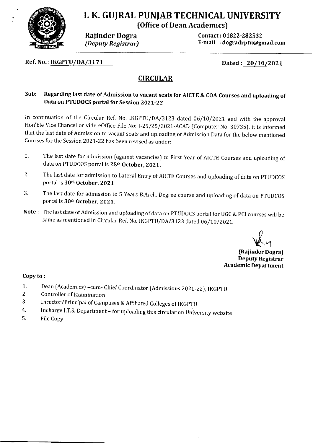

 $\mathbf{I}$ 

# I. K. GUJRAL PUNJAB TECHNICAL UNIVERSITY {Office of Dean Academics)

Rajinder Dogra Contact : 01822-282532 (Deputy Registrar) E-mail : dogradrptu@gmail.com

Ref. No. : <u>IKGPTU/DA/3171</u> Dated: 20/10/2021

## CIRCULAR

#### Sub: Regarding last date of Admission to vacant seats for AICTE & COA Courses and uploading of Data on PTUDOCS portal for Session ZOZL-ZZ

In continuation of the Circular Ref. No. IKGPTU/DA/3123 dated 06/10/2021 and with the approval Hon'ble Vice Chancellor vide eOffice File No: I-25/25/2021-ACAD (Computer No. 30735), it is informed that the last date of Admission to vacant seats and uploading of Admission Data for the below mentioned Courses for the Session 2021-22 has been revised as under:

- 1. The last date for admission (against vacancies) to First Year of AICTE Courses and uploading of data on PTUDCOS portal is 25<sup>th</sup> October, 2021.
- 2. The last date for admission to Lateral Entry of AICTE Courses and uploading of data on PTUDCOS portal is 30th October,2O21
- 3. The last date for admission to 5 Years B.Arch. Degree course and uploading of data on PTUDCOS portal is 30<sup>th</sup> October, 2021.
- Note: The last date of Admission and uploading of data on PTUDOCS portal for UGC & PCI courses will be same as mentioned in Circular Ref. No. IKGPTU/DA/3123 dated 06/10/2021.

 $\bigvee\hspace{-0.14cm}\mathbb{C}\bigvee$ 

(Raiinder Dogra) Deputy Registrar Academic Department

#### Copy to :

- L Dean (Academics) -cum- Chief Coordinator (Admissions 2021-22), IKGPTU
- 2. Controller of Examination
- 3. Director/Principal of Campuses & Affiliated Colleges of IKGPTU
- 4. Incharge I.1'.S. Department - for uploading this circular on University website
- $5<sub>r</sub>$ File Copy